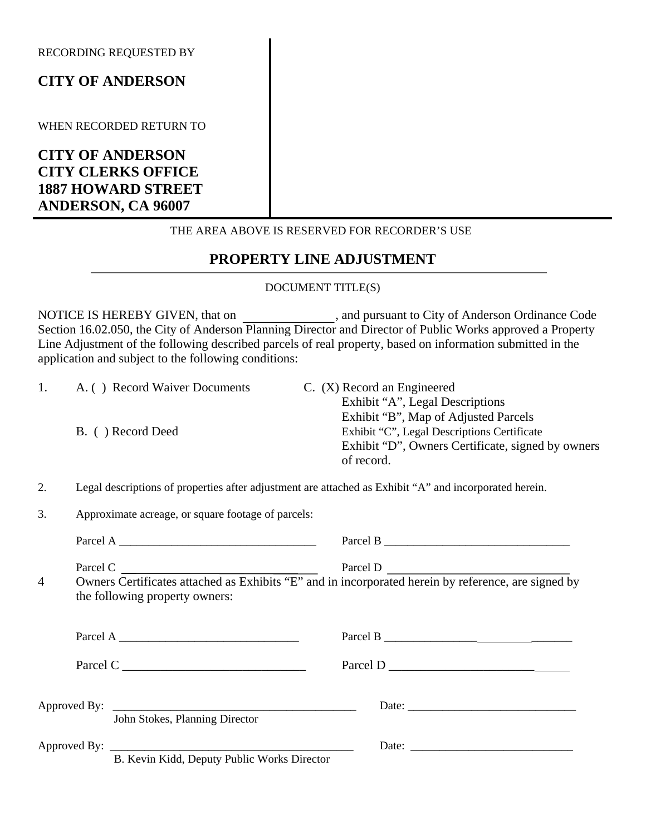RECORDING REQUESTED BY

## **CITY OF ANDERSON**

WHEN RECORDED RETURN TO

**CITY OF ANDERSON CITY CLERKS OFFICE 1887 HOWARD STREET ANDERSON, CA 96007** 

#### THE AREA ABOVE IS RESERVED FOR RECORDER'S USE

# **PROPERTY LINE ADJUSTMENT**

### DOCUMENT TITLE(S)

NOTICE IS HEREBY GIVEN, that on , and pursuant to City of Anderson Ordinance Code Section 16.02.050, the City of Anderson Planning Director and Director of Public Works approved a Property Line Adjustment of the following described parcels of real property, based on information submitted in the application and subject to the following conditions:

1. A. ( ) Record Waiver Documents C. (X) Record an Engineered Exhibit "A", Legal Descriptions Exhibit "B", Map of Adjusted Parcels B. ( ) Record Deed Exhibit "C", Legal Descriptions Certificate Exhibit "D", Owners Certificate, signed by owners of record.

2. Legal descriptions of properties after adjustment are attached as Exhibit "A" and incorporated herein.

3. Approximate acreage, or square footage of parcels:

|   | Parcel A $\_\_\_\_\_\_\_\_\_$                                                                                                                     |  |
|---|---------------------------------------------------------------------------------------------------------------------------------------------------|--|
| 4 | Parcel C<br>Owners Certificates attached as Exhibits "E" and in incorporated herein by reference, are signed by<br>the following property owners: |  |
|   | Parcel A $\_\_$                                                                                                                                   |  |
|   | Parcel C                                                                                                                                          |  |
|   | John Stokes, Planning Director                                                                                                                    |  |
|   | B. Kevin Kidd, Deputy Public Works Director                                                                                                       |  |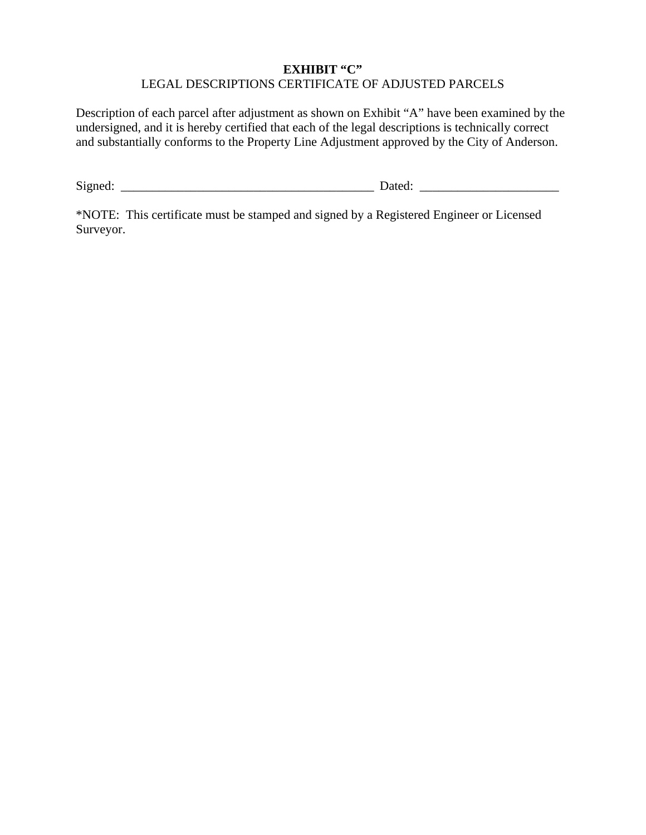### **EXHIBIT "C"**  LEGAL DESCRIPTIONS CERTIFICATE OF ADJUSTED PARCELS

Description of each parcel after adjustment as shown on Exhibit "A" have been examined by the undersigned, and it is hereby certified that each of the legal descriptions is technically correct and substantially conforms to the Property Line Adjustment approved by the City of Anderson.

Signed: \_\_\_\_\_\_\_\_\_\_\_\_\_\_\_\_\_\_\_\_\_\_\_\_\_\_\_\_\_\_\_\_\_\_\_\_\_\_\_\_ Dated: \_\_\_\_\_\_\_\_\_\_\_\_\_\_\_\_\_\_\_\_\_\_

\*NOTE: This certificate must be stamped and signed by a Registered Engineer or Licensed Surveyor.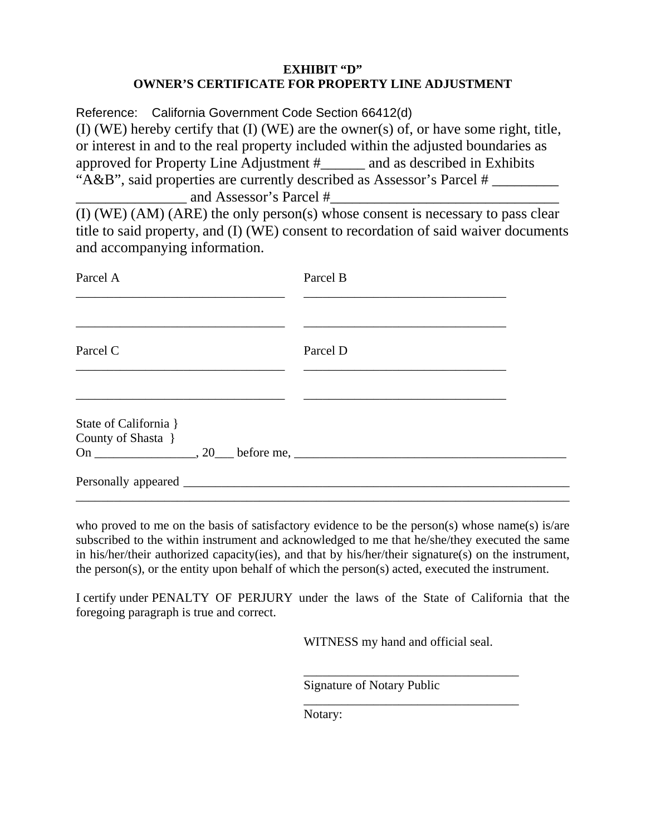### **EXHIBIT "D" OWNER'S CERTIFICATE FOR PROPERTY LINE ADJUSTMENT**

Reference: California Government Code Section 66412(d) (I) (WE) hereby certify that (I) (WE) are the owner(s) of, or have some right, title, or interest in and to the real property included within the adjusted boundaries as approved for Property Line Adjustment #\_\_\_\_\_\_ and as described in Exhibits "A&B", said properties are currently described as Assessor's Parcel # \_\_\_\_\_\_\_\_\_ and Assessor's Parcel #

(I) (WE) (AM) (ARE) the only person(s) whose consent is necessary to pass clear title to said property, and (I) (WE) consent to recordation of said waiver documents and accompanying information.

| Parcel A                                    | Parcel B |  |
|---------------------------------------------|----------|--|
| Parcel C                                    | Parcel D |  |
| State of California }<br>County of Shasta } |          |  |
|                                             |          |  |

who proved to me on the basis of satisfactory evidence to be the person(s) whose name(s) is/are subscribed to the within instrument and acknowledged to me that he/she/they executed the same in his/her/their authorized capacity(ies), and that by his/her/their signature(s) on the instrument, the person(s), or the entity upon behalf of which the person(s) acted, executed the instrument.

I certify under PENALTY OF PERJURY under the laws of the State of California that the foregoing paragraph is true and correct.

WITNESS my hand and official seal.

\_\_\_\_\_\_\_\_\_\_\_\_\_\_\_\_\_\_\_\_\_\_\_\_\_\_\_\_\_\_\_\_\_\_

\_\_\_\_\_\_\_\_\_\_\_\_\_\_\_\_\_\_\_\_\_\_\_\_\_\_\_\_\_\_\_\_\_\_

Signature of Notary Public

Notary: